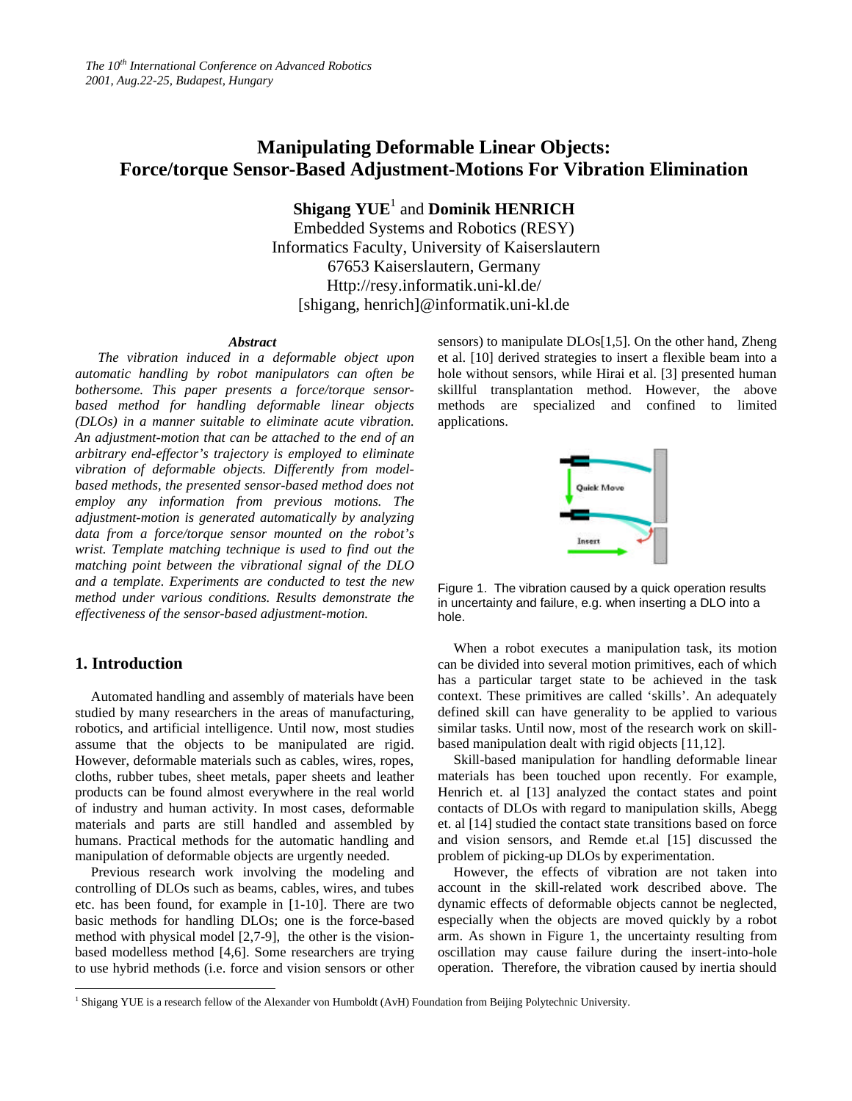# **Manipulating Deformable Linear Objects: Force/torque Sensor-Based Adjustment-Motions For Vibration Elimination**

 $\mathbf{Shigang \;} YUE^{1}$  and  $\mathbf{Dominik \; HENRICH}$ Embedded Systems and Robotics (RESY) Informatics Faculty, University of Kaiserslautern 67653 Kaiserslautern, Germany Http://resy.informatik.uni-kl.de/ [shigang, henrich]@informatik.uni-kl.de

#### *Abstract*

*The vibration induced in a deformable object upon automatic handling by robot manipulators can often be bothersome. This paper presents a force/torque sensorbased method for handling deformable linear objects (DLOs) in a manner suitable to eliminate acute vibration. An adjustment-motion that can be attached to the end of an arbitrary end-effector's trajectory is employed to eliminate vibration of deformable objects. Differently from modelbased methods, the presented sensor-based method does not employ any information from previous motions. The adjustment-motion is generated automatically by analyzing data from a force/torque sensor mounted on the robot's wrist. Template matching technique is used to find out the matching point between the vibrational signal of the DLO and a template. Experiments are conducted to test the new method under various conditions. Results demonstrate the effectiveness of the sensor-based adjustment-motion.*

# **1. Introduction**

Automated handling and assembly of materials have been studied by many researchers in the areas of manufacturing, robotics, and artificial intelligence. Until now, most studies assume that the objects to be manipulated are rigid. However, deformable materials such as cables, wires, ropes, cloths, rubber tubes, sheet metals, paper sheets and leather products can be found almost everywhere in the real world of industry and human activity. In most cases, deformable materials and parts are still handled and assembled by humans. Practical methods for the automatic handling and manipulation of deformable objects are urgently needed.

Previous research work involving the modeling and controlling of DLOs such as beams, cables, wires, and tubes etc. has been found, for example in [1-10]. There are two basic methods for handling DLOs; one is the force-based method with physical model [2,7-9], the other is the visionbased modelless method [4,6]. Some researchers are trying to use hybrid methods (i.e. force and vision sensors or other sensors) to manipulate DLOs[1,5]. On the other hand, Zheng et al. [10] derived strategies to insert a flexible beam into a hole without sensors, while Hirai et al. [3] presented human skillful transplantation method. However, the above methods are specialized and confined to limited applications.



Figure 1. The vibration caused by a quick operation results in uncertainty and failure, e.g. when inserting a DLO into a hole.

When a robot executes a manipulation task, its motion can be divided into several motion primitives, each of which has a particular target state to be achieved in the task context. These primitives are called 'skills'. An adequately defined skill can have generality to be applied to various similar tasks. Until now, most of the research work on skillbased manipulation dealt with rigid objects [11,12].

Skill-based manipulation for handling deformable linear materials has been touched upon recently. For example, Henrich et. al [13] analyzed the contact states and point contacts of DLOs with regard to manipulation skills, Abegg et. al [14] studied the contact state transitions based on force and vision sensors, and Remde et.al [15] discussed the problem of picking-up DLOs by experimentation.

However, the effects of vibration are not taken into account in the skill-related work described above. The dynamic effects of deformable objects cannot be neglected, especially when the objects are moved quickly by a robot arm. As shown in Figure 1, the uncertainty resulting from oscillation may cause failure during the insert-into-hole operation. Therefore, the vibration caused by inertia should

 1 Shigang YUE is a research fellow of the Alexander von Humboldt (AvH) Foundation from Beijing Polytechnic University.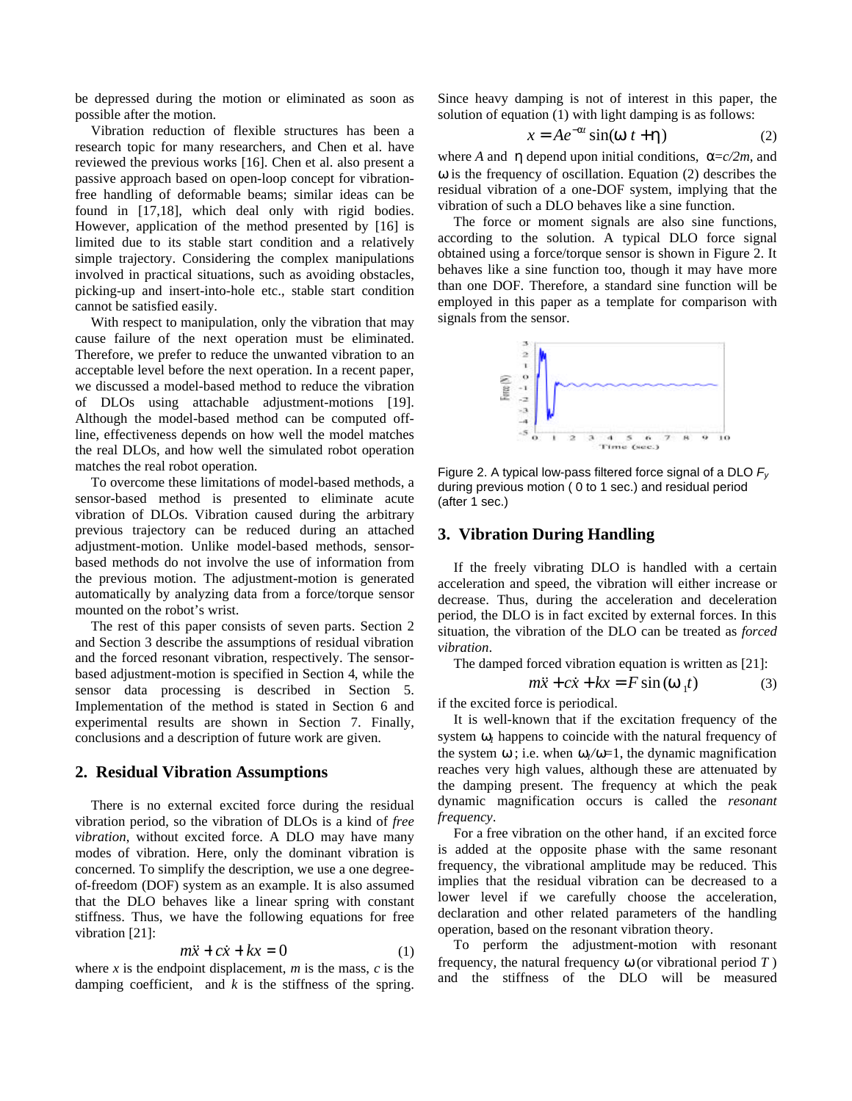be depressed during the motion or eliminated as soon as possible after the motion.

Vibration reduction of flexible structures has been a research topic for many researchers, and Chen et al. have reviewed the previous works [16]. Chen et al. also present a passive approach based on open-loop concept for vibrationfree handling of deformable beams; similar ideas can be found in [17,18], which deal only with rigid bodies. However, application of the method presented by [16] is limited due to its stable start condition and a relatively simple trajectory. Considering the complex manipulations involved in practical situations, such as avoiding obstacles, picking-up and insert-into-hole etc., stable start condition cannot be satisfied easily.

With respect to manipulation, only the vibration that may cause failure of the next operation must be eliminated. Therefore, we prefer to reduce the unwanted vibration to an acceptable level before the next operation. In a recent paper, we discussed a model-based method to reduce the vibration of DLOs using attachable adjustment-motions [19]. Although the model-based method can be computed offline, effectiveness depends on how well the model matches the real DLOs, and how well the simulated robot operation matches the real robot operation.

To overcome these limitations of model-based methods, a sensor-based method is presented to eliminate acute vibration of DLOs. Vibration caused during the arbitrary previous trajectory can be reduced during an attached adjustment-motion. Unlike model-based methods, sensorbased methods do not involve the use of information from the previous motion. The adjustment-motion is generated automatically by analyzing data from a force/torque sensor mounted on the robot's wrist.

The rest of this paper consists of seven parts. Section 2 and Section 3 describe the assumptions of residual vibration and the forced resonant vibration, respectively. The sensorbased adjustment-motion is specified in Section 4, while the sensor data processing is described in Section 5. Implementation of the method is stated in Section 6 and experimental results are shown in Section 7. Finally, conclusions and a description of future work are given.

## **2. Residual Vibration Assumptions**

There is no external excited force during the residual vibration period, so the vibration of DLOs is a kind of *free vibration*, without excited force. A DLO may have many modes of vibration. Here, only the dominant vibration is concerned. To simplify the description, we use a one degreeof-freedom (DOF) system as an example. It is also assumed that the DLO behaves like a linear spring with constant stiffness. Thus, we have the following equations for free vibration [21]:

$$
m\ddot{x} + c\dot{x} + kx = 0 \tag{1}
$$

where *x* is the endpoint displacement, *m* is the mass, *c* is the damping coefficient, and  $k$  is the stiffness of the spring. Since heavy damping is not of interest in this paper, the solution of equation (1) with light damping is as follows:

$$
x = Ae^{-at}\sin(w t + h)
$$
 (2)

where *A* and *h* depend upon initial conditions,  $\alpha = c/2m$ , and ω is the frequency of oscillation. Equation (2) describes the residual vibration of a one-DOF system, implying that the vibration of such a DLO behaves like a sine function.

The force or moment signals are also sine functions, according to the solution. A typical DLO force signal obtained using a force/torque sensor is shown in Figure 2. It behaves like a sine function too, though it may have more than one DOF. Therefore, a standard sine function will be employed in this paper as a template for comparison with signals from the sensor.



Figure 2. A typical low-pass filtered force signal of a DLO *F<sup>y</sup>* during previous motion ( 0 to 1 sec.) and residual period (after 1 sec.)

### **3. Vibration During Handling**

If the freely vibrating DLO is handled with a certain acceleration and speed, the vibration will either increase or decrease. Thus, during the acceleration and deceleration period, the DLO is in fact excited by external forces. In this situation, the vibration of the DLO can be treated as *forced vibration*.

The damped forced vibration equation is written as [21]:

$$
m\ddot{x} + c\dot{x} + kx = F\sin(w_1t)
$$
 (3)

if the excited force is periodical.

It is well-known that if the excitation frequency of the system  $w_i$  happens to coincide with the natural frequency of the system  $w$ ; i.e. when  $w_1/w=1$ , the dynamic magnification reaches very high values, although these are attenuated by the damping present. The frequency at which the peak dynamic magnification occurs is called the *resonant frequency*.

For a free vibration on the other hand, if an excited force is added at the opposite phase with the same resonant frequency, the vibrational amplitude may be reduced. This implies that the residual vibration can be decreased to a lower level if we carefully choose the acceleration, declaration and other related parameters of the handling operation, based on the resonant vibration theory.

To perform the adjustment-motion with resonant frequency, the natural frequency *w* (or vibrational period *T* ) and the stiffness of the DLO will be measured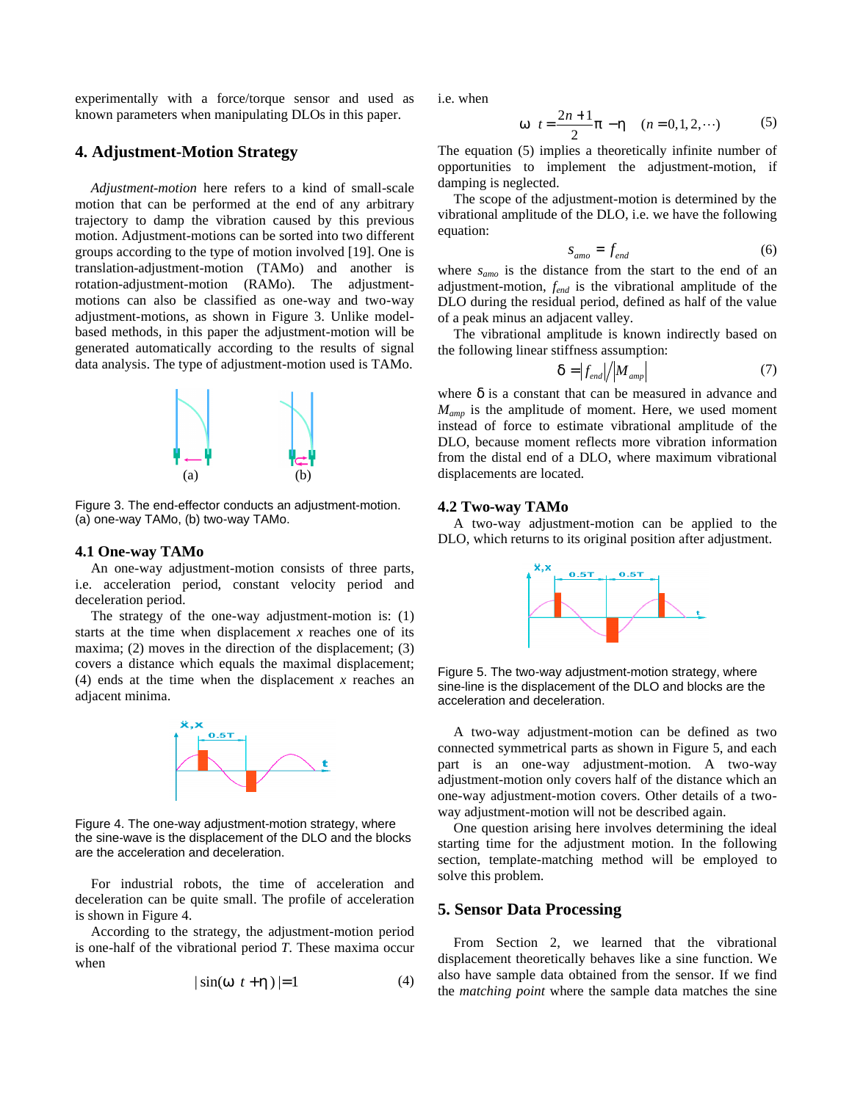experimentally with a force/torque sensor and used as known parameters when manipulating DLOs in this paper.

# **4. Adjustment-Motion Strategy**

*Adjustment-motion* here refers to a kind of small-scale motion that can be performed at the end of any arbitrary trajectory to damp the vibration caused by this previous motion. Adjustment-motions can be sorted into two different groups according to the type of motion involved [19]. One is translation-adjustment-motion (TAMo) and another is rotation-adjustment-motion (RAMo). The adjustmentmotions can also be classified as one-way and two-way adjustment-motions, as shown in Figure 3. Unlike modelbased methods, in this paper the adjustment-motion will be generated automatically according to the results of signal data analysis. The type of adjustment-motion used is TAMo.



Figure 3. The end-effector conducts an adjustment-motion. (a) one-way TAMo, (b) two-way TAMo.

### **4.1 One-way TAMo**

An one-way adjustment-motion consists of three parts, i.e. acceleration period, constant velocity period and deceleration period.

The strategy of the one-way adjustment-motion is: (1) starts at the time when displacement *x* reaches one of its maxima; (2) moves in the direction of the displacement; (3) covers a distance which equals the maximal displacement; (4) ends at the time when the displacement *x* reaches an adjacent minima.



Figure 4. The one-way adjustment-motion strategy, where the sine-wave is the displacement of the DLO and the blocks are the acceleration and deceleration.

For industrial robots, the time of acceleration and deceleration can be quite small. The profile of acceleration is shown in Figure 4.

According to the strategy, the adjustment-motion period is one-half of the vibrational period *T*. These maxima occur when

$$
|\sin(\mathbf{w} \ t + \mathbf{h})| = 1 \tag{4}
$$

i.e. when

$$
w \t= \frac{2n+1}{2}p - h \t(n = 0, 1, 2, \cdots)
$$
 (5)

The equation (5) implies a theoretically infinite number of opportunities to implement the adjustment-motion, if damping is neglected.

The scope of the adjustment-motion is determined by the vibrational amplitude of the DLO, i.e. we have the following equation:

$$
S_{amo} = f_{end} \tag{6}
$$

where *samo* is the distance from the start to the end of an adjustment-motion, *fend* is the vibrational amplitude of the DLO during the residual period, defined as half of the value of a peak minus an adjacent valley.

The vibrational amplitude is known indirectly based on the following linear stiffness assumption:

$$
\boldsymbol{d} = \left| f_{\text{end}} \right| / \left| M_{\text{amp}} \right| \tag{7}
$$

where *d* is a constant that can be measured in advance and *Mamp* is the amplitude of moment. Here, we used moment instead of force to estimate vibrational amplitude of the DLO, because moment reflects more vibration information from the distal end of a DLO, where maximum vibrational displacements are located.

#### **4.2 Two-way TAMo**

A two-way adjustment-motion can be applied to the DLO, which returns to its original position after adjustment.



Figure 5. The two-way adjustment-motion strategy, where sine-line is the displacement of the DLO and blocks are the acceleration and deceleration.

A two-way adjustment-motion can be defined as two connected symmetrical parts as shown in Figure 5, and each part is an one-way adjustment-motion. A two-way adjustment-motion only covers half of the distance which an one-way adjustment-motion covers. Other details of a twoway adjustment-motion will not be described again.

One question arising here involves determining the ideal starting time for the adjustment motion. In the following section, template-matching method will be employed to solve this problem.

### **5. Sensor Data Processing**

From Section 2, we learned that the vibrational displacement theoretically behaves like a sine function. We also have sample data obtained from the sensor. If we find the *matching point* where the sample data matches the sine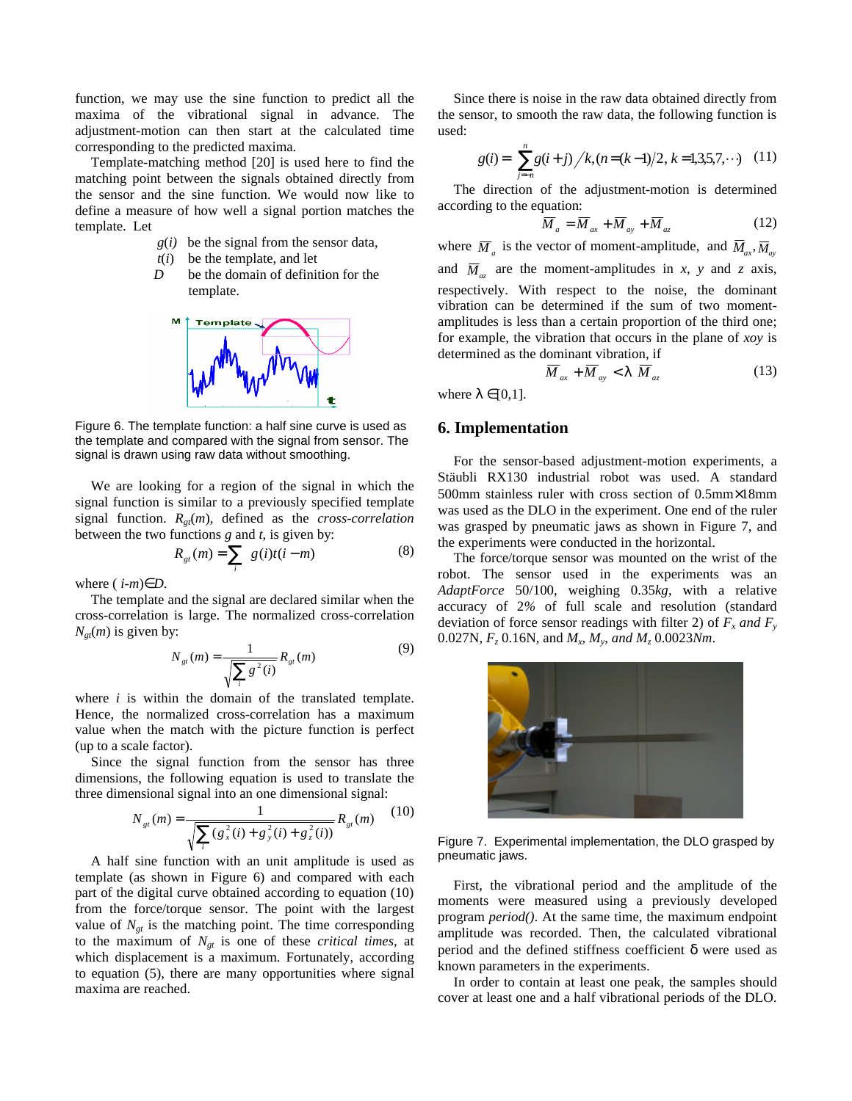function, we may use the sine function to predict all the maxima of the vibrational signal in advance. The adjustment-motion can then start at the calculated time corresponding to the predicted maxima.

Template-matching method [20] is used here to find the matching point between the signals obtained directly from the sensor and the sine function. We would now like to define a measure of how well a signal portion matches the template. Let

- *g*(*i)* be the signal from the sensor data,
- $t(i)$  be the template, and let
- *D* be the domain of definition for the template.



Figure 6. The template function: a half sine curve is used as the template and compared with the signal from sensor. The signal is drawn using raw data without smoothing.

We are looking for a region of the signal in which the signal function is similar to a previously specified template signal function. *Rgt*(*m*), defined as the *cross-correlation* between the two functions *g* and *t*, is given by:

$$
R_{gt}(m) = \sum_{i} g(i)t(i-m)
$$
 (8)

where  $(i-m)\in D$ .

The template and the signal are declared similar when the cross-correlation is large. The normalized cross-correlation  $N_{gt}(m)$  is given by:

$$
N_{gt}(m) = \frac{1}{\sqrt{\sum_{i} g^{2}(i)}} R_{gt}(m)
$$
\n(9)

where *i* is within the domain of the translated template. Hence, the normalized cross-correlation has a maximum value when the match with the picture function is perfect (up to a scale factor).

Since the signal function from the sensor has three dimensions, the following equation is used to translate the three dimensional signal into an one dimensional signal:

$$
N_{gt}(m) = \frac{1}{\sqrt{\sum_{i} (g_x^2(i) + g_y^2(i) + g_z^2(i))}} R_{gt}(m) \tag{10}
$$

A half sine function with an unit amplitude is used as template (as shown in Figure 6) and compared with each part of the digital curve obtained according to equation (10) from the force/torque sensor. The point with the largest value of  $N_{gt}$  is the matching point. The time corresponding to the maximum of *Ngt* is one of these *critical times,* at which displacement is a maximum. Fortunately, according to equation (5), there are many opportunities where signal maxima are reached.

Since there is noise in the raw data obtained directly from the sensor, to smooth the raw data, the following function is used:

$$
g(i) = \sum_{j=n}^{n} g(i+j) / k, (n = (k-1)/2, k = 1,3,5,7,\cdots) \quad (11)
$$

The direction of the adjustment-motion is determined according to the equation:

$$
\overline{M}_a = \overline{M}_{ax} + \overline{M}_{ay} + \overline{M}_{az} \tag{12}
$$

where  $\overline{M}_a$  is the vector of moment-amplitude, and  $\overline{M}_{ax}$ ,  $\overline{M}_{ay}$ and  $\overline{M}_{az}$  are the moment-amplitudes in *x*, *y* and *z* axis, respectively. With respect to the noise, the dominant vibration can be determined if the sum of two momentamplitudes is less than a certain proportion of the third one; for example, the vibration that occurs in the plane of *xoy* is determined as the dominant vibration, if

$$
\overline{M}_{ax} + \overline{M}_{ay} < \mathbf{I} \ \overline{M}_{az} \tag{13}
$$

where  $I \in [0,1]$ .

# **6. Implementation**

For the sensor-based adjustment-motion experiments, a Stäubli RX130 industrial robot was used. A standard 500mm stainless ruler with cross section of 0.5mm×18mm was used as the DLO in the experiment. One end of the ruler was grasped by pneumatic jaws as shown in Figure 7, and the experiments were conducted in the horizontal.

The force/torque sensor was mounted on the wrist of the robot. The sensor used in the experiments was an *AdaptForce* 50/100, weighing 0.35*kg*, with a relative accuracy of 2*%* of full scale and resolution (standard deviation of force sensor readings with filter 2) of  $F_x$  and  $F_y$ 0.027N,  $F_z$  0.16N, and  $M_x$ ,  $M_y$ , and  $M_z$  0.0023*Nm*.



Figure 7. Experimental implementation, the DLO grasped by pneumatic jaws.

First, the vibrational period and the amplitude of the moments were measured using a previously developed program *period()*. At the same time, the maximum endpoint amplitude was recorded. Then, the calculated vibrational period and the defined stiffness coefficient *d* were used as known parameters in the experiments.

In order to contain at least one peak, the samples should cover at least one and a half vibrational periods of the DLO.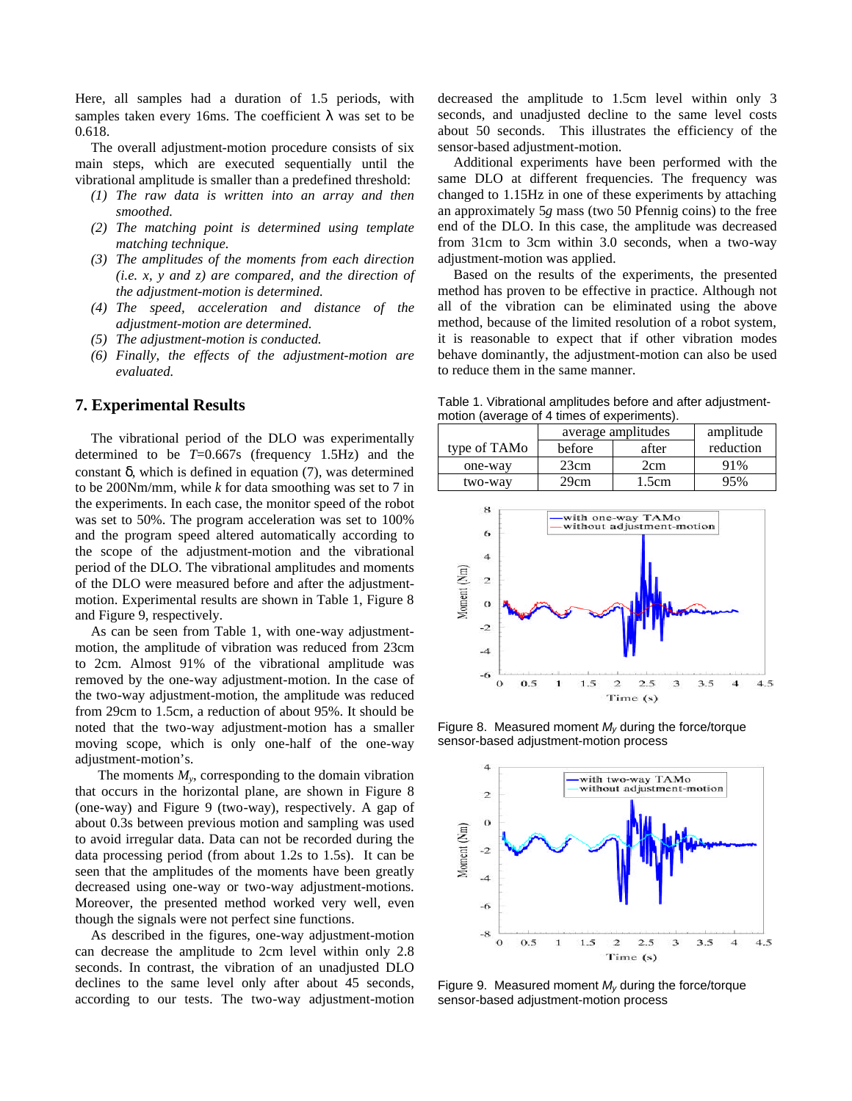Here, all samples had a duration of 1.5 periods, with samples taken every 16ms. The coefficient *l* was set to be 0.618.

The overall adjustment-motion procedure consists of six main steps, which are executed sequentially until the vibrational amplitude is smaller than a predefined threshold:

- *(1) The raw data is written into an array and then smoothed.*
- *(2) The matching point is determined using template matching technique.*
- *(3) The amplitudes of the moments from each direction (i.e. x, y and z) are compared, and the direction of the adjustment-motion is determined.*
- *(4) The speed, acceleration and distance of the adjustment-motion are determined.*
- *(5) The adjustment-motion is conducted.*
- *(6) Finally, the effects of the adjustment-motion are evaluated.*

# **7. Experimental Results**

The vibrational period of the DLO was experimentally determined to be *T*=0.667s (frequency 1.5Hz) and the constant *d*, which is defined in equation (7), was determined to be 200Nm/mm, while *k* for data smoothing was set to 7 in the experiments. In each case, the monitor speed of the robot was set to 50%. The program acceleration was set to 100% and the program speed altered automatically according to the scope of the adjustment-motion and the vibrational period of the DLO. The vibrational amplitudes and moments of the DLO were measured before and after the adjustmentmotion. Experimental results are shown in Table 1, Figure 8 and Figure 9, respectively.

As can be seen from Table 1, with one-way adjustmentmotion, the amplitude of vibration was reduced from 23cm to 2cm. Almost 91% of the vibrational amplitude was removed by the one-way adjustment-motion. In the case of the two-way adjustment-motion, the amplitude was reduced from 29cm to 1.5cm, a reduction of about 95%. It should be noted that the two-way adjustment-motion has a smaller moving scope, which is only one-half of the one-way adjustment-motion's.

The moments  $M_y$ , corresponding to the domain vibration that occurs in the horizontal plane, are shown in Figure 8 (one-way) and Figure 9 (two-way), respectively. A gap of about 0.3s between previous motion and sampling was used to avoid irregular data. Data can not be recorded during the data processing period (from about 1.2s to 1.5s). It can be seen that the amplitudes of the moments have been greatly decreased using one-way or two-way adjustment-motions. Moreover, the presented method worked very well, even though the signals were not perfect sine functions.

As described in the figures, one-way adjustment-motion can decrease the amplitude to 2cm level within only 2.8 seconds. In contrast, the vibration of an unadjusted DLO declines to the same level only after about 45 seconds, according to our tests. The two-way adjustment-motion decreased the amplitude to 1.5cm level within only 3 seconds, and unadjusted decline to the same level costs about 50 seconds. This illustrates the efficiency of the sensor-based adjustment-motion.

Additional experiments have been performed with the same DLO at different frequencies. The frequency was changed to 1.15Hz in one of these experiments by attaching an approximately 5*g* mass (two 50 Pfennig coins) to the free end of the DLO. In this case, the amplitude was decreased from 31cm to 3cm within 3.0 seconds, when a two-way adjustment-motion was applied.

Based on the results of the experiments, the presented method has proven to be effective in practice. Although not all of the vibration can be eliminated using the above method, because of the limited resolution of a robot system, it is reasonable to expect that if other vibration modes behave dominantly, the adjustment-motion can also be used to reduce them in the same manner.

Table 1. Vibrational amplitudes before and after adjustmentmotion (average of 4 times of experiments).

|                          | average amplitudes |       | amplitude |
|--------------------------|--------------------|-------|-----------|
| type of TAM <sub>0</sub> | before             | after | reduction |
| one-way                  | 23cm               | 2cm   | 91%       |
| two-way                  | 29cm               | 1.5cm | 95%       |



Figure 8. Measured moment *My* during the force/torque sensor-based adjustment-motion process



Figure 9. Measured moment *My* during the force/torque sensor-based adjustment-motion process